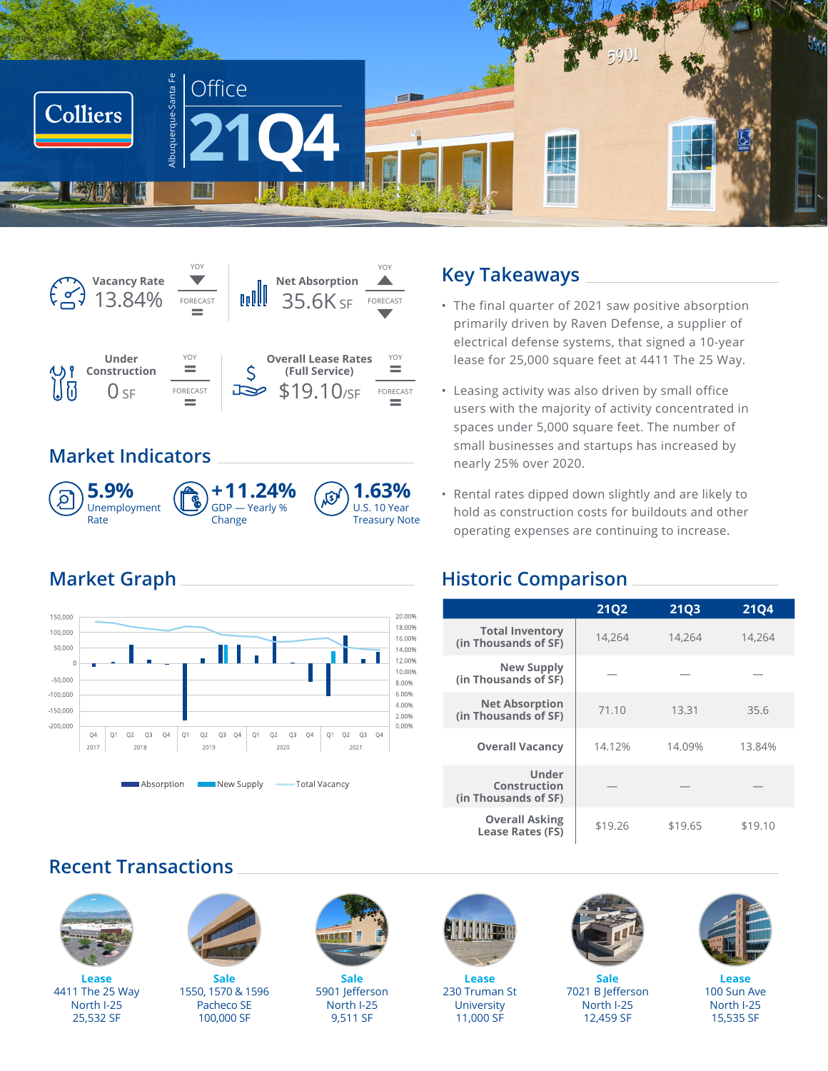



## **Market Indicators**



## **Market Graph**



### **Key Takeaways**

- The final quarter of 2021 saw positive absorption primarily driven by Raven Defense, a supplier of electrical defense systems, that signed a 10-year lease for 25,000 square feet at 4411 The 25 Way.
- Leasing activity was also driven by small office users with the majority of activity concentrated in spaces under 5,000 square feet. The number of small businesses and startups has increased by nearly 25% over 2020.
- Rental rates dipped down slightly and are likely to hold as construction costs for buildouts and other operating expenses are continuing to increase.

## **Historic Comparison**

|                                                      | <b>21Q2</b> | <b>21Q3</b> | <b>21Q4</b> |
|------------------------------------------------------|-------------|-------------|-------------|
| <b>Total Inventory</b><br>(in Thousands of SF)       | 14,264      | 14,264      | 14,264      |
| New Supply<br>(in Thousands of SF)                   |             |             |             |
| <b>Net Absorption</b><br>(in Thousands of SF)        | 71.10       | 13.31       | 35.6        |
| <b>Overall Vacancy</b>                               | 14.12%      | 14.09%      | 13.84%      |
| <b>Under</b><br>Construction<br>(in Thousands of SF) |             |             |             |
| <b>Overall Asking</b><br>Lease Rates (FS)            | \$19.26     | \$19.65     | \$19.10     |

## **Recent Transactions**



**Lease** 4411 The 25 Way North I-25 25,532 SF



**Sale** 1550, 1570 & 1596 Pacheco SE 100,000 SF



**Sale** 5901 Jefferson North I-25 9,511 SF



**Lease** 230 Truman St **University** 11,000 SF



**Sale** 7021 B Jefferson North I-25 12,459 SF



**Lease** 100 Sun Ave North I-25 15,535 SF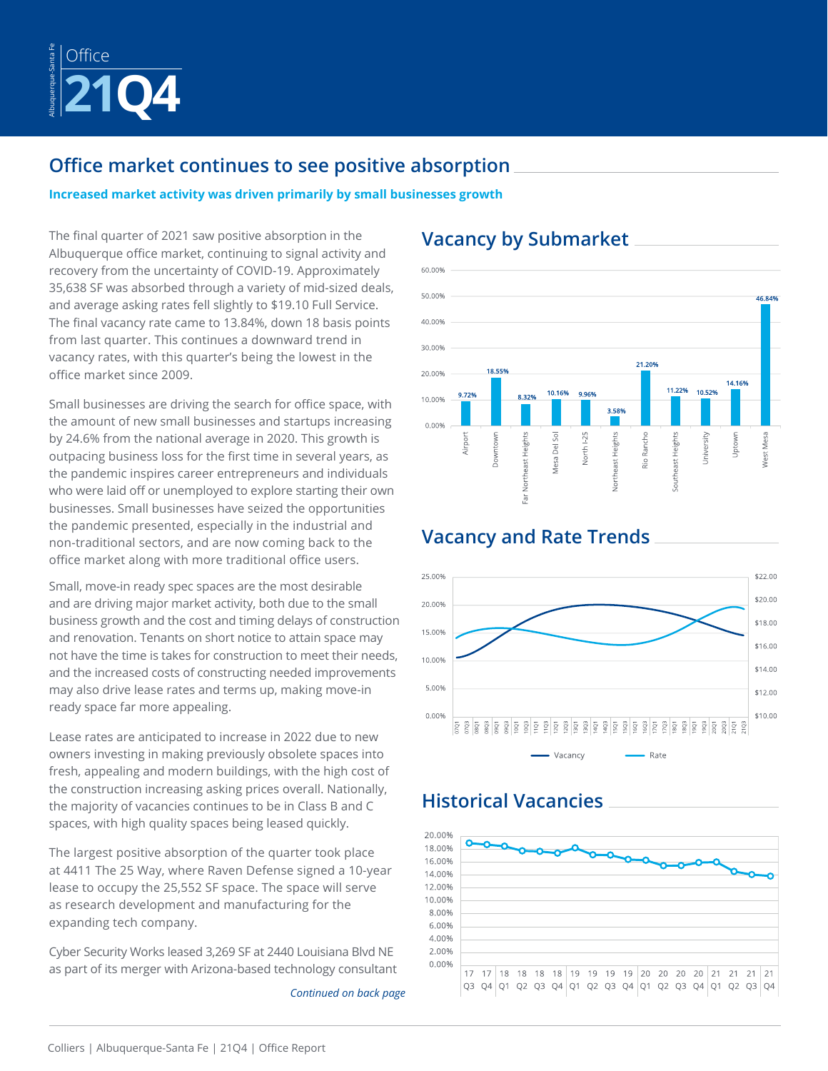

## **Office market continues to see positive absorption**

**Increased market activity was driven primarily by small businesses growth**

The final quarter of 2021 saw positive absorption in the Albuquerque office market, continuing to signal activity and recovery from the uncertainty of COVID-19. Approximately 35,638 SF was absorbed through a variety of mid-sized deals, and average asking rates fell slightly to \$19.10 Full Service. The final vacancy rate came to 13.84%, down 18 basis points from last quarter. This continues a downward trend in vacancy rates, with this quarter's being the lowest in the office market since 2009.

Small businesses are driving the search for office space, with the amount of new small businesses and startups increasing by 24.6% from the national average in 2020. This growth is outpacing business loss for the first time in several years, as the pandemic inspires career entrepreneurs and individuals who were laid off or unemployed to explore starting their own businesses. Small businesses have seized the opportunities the pandemic presented, especially in the industrial and non-traditional sectors, and are now coming back to the office market along with more traditional office users.

Small, move-in ready spec spaces are the most desirable and are driving major market activity, both due to the small business growth and the cost and timing delays of construction and renovation. Tenants on short notice to attain space may not have the time is takes for construction to meet their needs, and the increased costs of constructing needed improvements may also drive lease rates and terms up, making move-in ready space far more appealing.

Lease rates are anticipated to increase in 2022 due to new owners investing in making previously obsolete spaces into fresh, appealing and modern buildings, with the high cost of the construction increasing asking prices overall. Nationally, the majority of vacancies continues to be in Class B and C spaces, with high quality spaces being leased quickly.

The largest positive absorption of the quarter took place at 4411 The 25 Way, where Raven Defense signed a 10-year lease to occupy the 25,552 SF space. The space will serve as research development and manufacturing for the expanding tech company.

Cyber Security Works leased 3,269 SF at 2440 Louisiana Blvd NE as part of its merger with Arizona-based technology consultant

*Continued on back page*

## **Vacancy by Submarket**

**Vacancy and Rate Trends**



#### 25,00% \$22.00 \$20.00 20.00% \$18.00 15.00% \$16.00 10.00%  $$14.00$ 5.00% \$12.00 \$10.00 0.00%  $\frac{18}{9}$  $\widetilde{\mathbb{C}}$  $\frac{1}{2}$  or  $\frac{8}{2}$   $\frac{5}{8}$   $\frac{8}{8}$   $\frac{5}{8}$   $\frac{8}{8}$  $\overline{20}$  $\bar{Q}$ Vacancy Rate

## **Historical Vacancies**

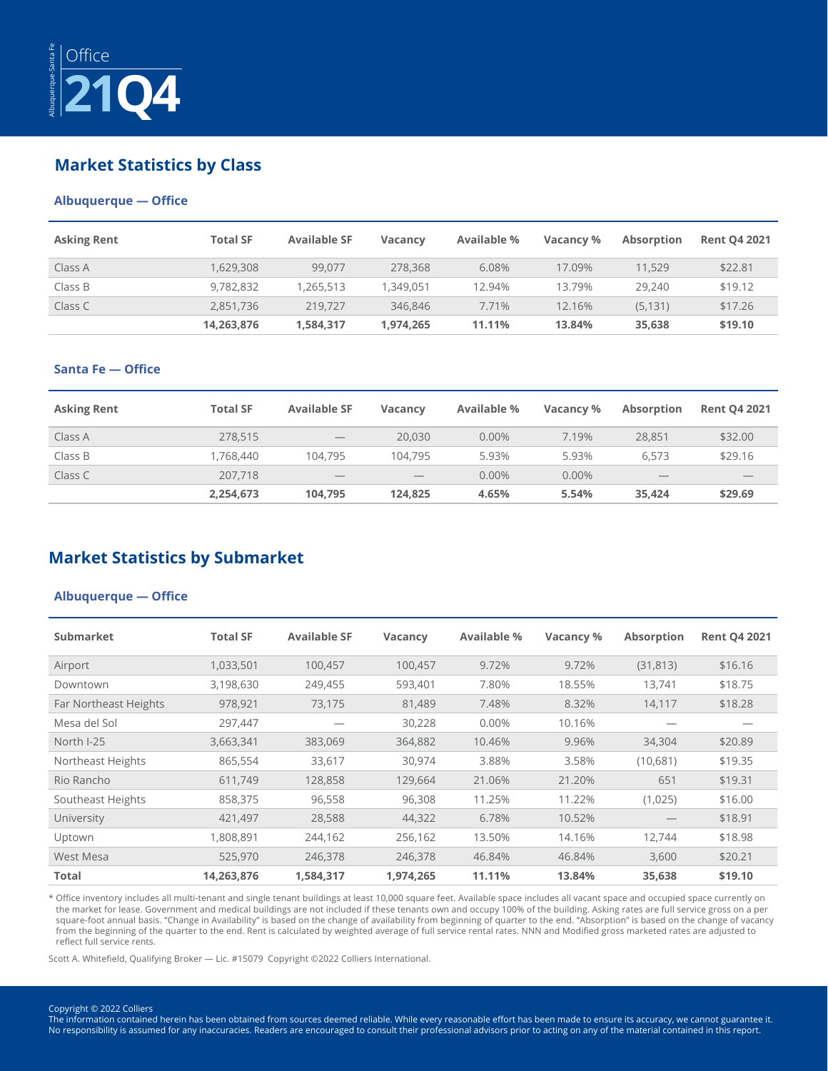

### **Market Statistics by Class**

### **Albuquerque — Office**

| <b>Asking Rent</b> | <b>Total SF</b> | <b>Available SF</b> | <b>Vacancy</b> | Available % | Vacancy % | Absorption | <b>Rent Q4 2021</b> |
|--------------------|-----------------|---------------------|----------------|-------------|-----------|------------|---------------------|
| Class A            | 1,629,308       | 99.077              | 278,368        | 6.08%       | 17.09%    | 11,529     | \$22.81             |
| Class B            | 9.782.832       | 1.265.513           | .349.051       | 12.94%      | 13.79%    | 29,240     | \$19.12             |
| Class C            | 2.851.736       | 219,727             | 346,846        | 7.71%       | 12.16%    | (5.131)    | \$17.26             |
|                    | 14,263,876      | 1,584,317           | 1,974,265      | 11.11%      | 13.84%    | 35,638     | \$19.10             |

### **Santa Fe — Office**

| <b>Asking Rent</b> | <b>Total SF</b> | <b>Available SF</b>             | <b>Vacancy</b>                  | <b>Available %</b> | Vacancy % | <b>Absorption</b>                          | <b>Rent Q4 2021</b> |
|--------------------|-----------------|---------------------------------|---------------------------------|--------------------|-----------|--------------------------------------------|---------------------|
| Class A            | 278,515         | $\hspace{0.1mm}-\hspace{0.1mm}$ | 20,030                          | 0.00%              | 7.19%     | 28,851                                     | \$32.00             |
| Class B            | 1.768.440       | 104,795                         | 104.795                         | 5.93%              | 5.93%     | 6.573                                      | \$29.16             |
| Class C            | 207,718         | $\hspace{0.1mm}-\hspace{0.1mm}$ | $\hspace{0.1mm}-\hspace{0.1mm}$ | 0.00%              | 0.00%     | $\qquad \qquad \overline{\qquad \qquad }%$ | $\qquad \qquad$     |
|                    | 2,254,673       | 104,795                         | 124.825                         | 4.65%              | 5.54%     | 35.424                                     | \$29.69             |

### **Market Statistics by Submarket**

#### **Albuquerque — Office**

| <b>Submarket</b>      | <b>Total SF</b> | <b>Available SF</b> | <b>Vacancy</b> | Available % | Vacancy % | <b>Absorption</b> | <b>Rent Q4 2021</b> |
|-----------------------|-----------------|---------------------|----------------|-------------|-----------|-------------------|---------------------|
| Airport               | 1,033,501       | 100,457             | 100,457        | 9.72%       | 9.72%     | (31, 813)         | \$16.16             |
| Downtown              | 3,198,630       | 249,455             | 593,401        | 7.80%       | 18.55%    | 13.741            | \$18.75             |
| Far Northeast Heights | 978,921         | 73,175              | 81,489         | 7.48%       | 8.32%     | 14,117            | \$18.28             |
| Mesa del Sol          | 297,447         |                     | 30,228         | 0.00%       | 10.16%    |                   |                     |
| North I-25            | 3,663,341       | 383,069             | 364,882        | 10.46%      | 9.96%     | 34,304            | \$20.89             |
| Northeast Heights     | 865,554         | 33,617              | 30,974         | 3.88%       | 3.58%     | (10,681)          | \$19.35             |
| Rio Rancho            | 611.749         | 128,858             | 129,664        | 21.06%      | 21.20%    | 651               | \$19.31             |
| Southeast Heights     | 858,375         | 96,558              | 96,308         | 11.25%      | 11.22%    | (1,025)           | \$16.00             |
| University            | 421,497         | 28,588              | 44,322         | 6.78%       | 10.52%    |                   | \$18.91             |
| Uptown                | 1,808,891       | 244,162             | 256,162        | 13.50%      | 14.16%    | 12.744            | \$18.98             |
| West Mesa             | 525,970         | 246,378             | 246,378        | 46.84%      | 46.84%    | 3,600             | \$20.21             |
| Total                 | 14,263,876      | 1,584,317           | 1,974,265      | 11.11%      | 13.84%    | 35,638            | \$19.10             |

\* Office inventory includes all multi-tenant and single tenant buildings at least 10,000 square feet. Available space includes all vacant space and occupied space currently on the market for lease. Government and medical buildings are not included if these tenants own and occupy 100% of the building. Asking rates are full service gross on a per square-foot annual basis. "Change in Availability" is based on the change of availability from beginning of quarter to the end. "Absorption" is based on the change of vacancy from the beginning of the quarter to the end. Rent is calculated by weighted average of full service rental rates. NNN and Modified gross marketed rates are adjusted to reflect full service rents.

Scott A. Whitefield, Qualifying Broker — Lic. #15079 Copyright ©2022 Colliers International.

#### Copyright © 2022 Colliers

The information contained herein has been obtained from sources deemed reliable. While every reasonable effort has been made to ensure its accuracy, we cannot guarantee it. No responsibility is assumed for any inaccuracies. Readers are encouraged to consult their professional advisors prior to acting on any of the material contained in this report.